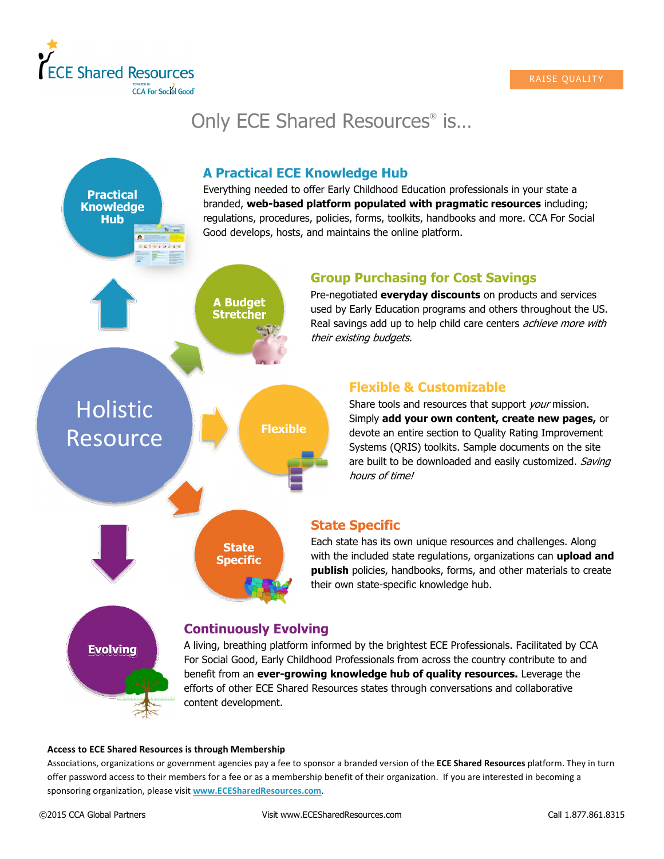

## Only ECE Shared Resources® is…



## Access to ECE Shared Resources is through Membership

Associations, organizations or government agencies pay a fee to sponsor a branded version of the ECE Shared Resources platform. They in turn offer password access to their members for a fee or as a membership benefit of their organization. If you are interested in becoming a sponsoring organization, please visit www.ECESharedResources.com.